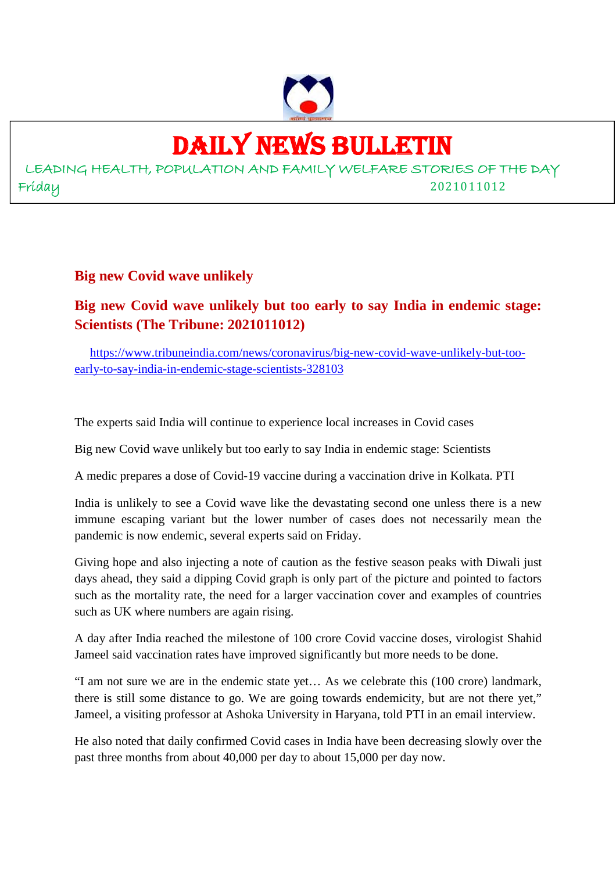

# DAILY NEWS BULLETIN

LEADING HEALTH, POPULATION AND FAMILY WELFARE STORIES OF THE DAY Friday 2021011012

**Big new Covid wave unlikely**

**Big new Covid wave unlikely but too early to say India in endemic stage: Scientists (The Tribune: 2021011012)**

https://www.tribuneindia.com/news/coronavirus/big-new-covid-wave-unlikely-but-tooearly-to-say-india-in-endemic-stage-scientists-328103

The experts said India will continue to experience local increases in Covid cases

Big new Covid wave unlikely but too early to say India in endemic stage: Scientists

A medic prepares a dose of Covid-19 vaccine during a vaccination drive in Kolkata. PTI

India is unlikely to see a Covid wave like the devastating second one unless there is a new immune escaping variant but the lower number of cases does not necessarily mean the pandemic is now endemic, several experts said on Friday.

Giving hope and also injecting a note of caution as the festive season peaks with Diwali just days ahead, they said a dipping Covid graph is only part of the picture and pointed to factors such as the mortality rate, the need for a larger vaccination cover and examples of countries such as UK where numbers are again rising.

A day after India reached the milestone of 100 crore Covid vaccine doses, virologist Shahid Jameel said vaccination rates have improved significantly but more needs to be done.

"I am not sure we are in the endemic state yet… As we celebrate this (100 crore) landmark, there is still some distance to go. We are going towards endemicity, but are not there yet," Jameel, a visiting professor at Ashoka University in Haryana, told PTI in an email interview.

He also noted that daily confirmed Covid cases in India have been decreasing slowly over the past three months from about 40,000 per day to about 15,000 per day now.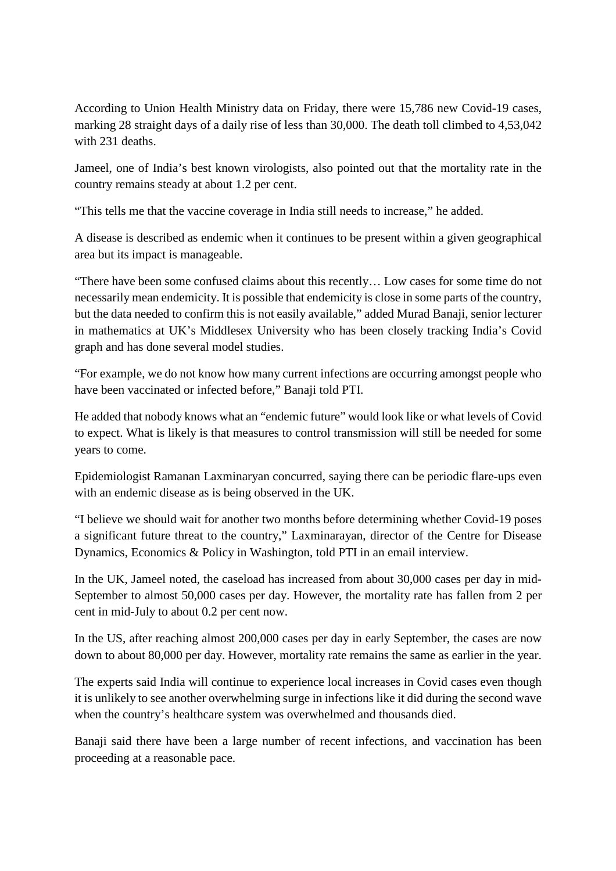According to Union Health Ministry data on Friday, there were 15,786 new Covid-19 cases, marking 28 straight days of a daily rise of less than 30,000. The death toll climbed to 4,53,042 with 231 deaths.

Jameel, one of India's best known virologists, also pointed out that the mortality rate in the country remains steady at about 1.2 per cent.

"This tells me that the vaccine coverage in India still needs to increase," he added.

A disease is described as endemic when it continues to be present within a given geographical area but its impact is manageable.

"There have been some confused claims about this recently… Low cases for some time do not necessarily mean endemicity. It is possible that endemicity is close in some parts of the country, but the data needed to confirm this is not easily available," added Murad Banaji, senior lecturer in mathematics at UK's Middlesex University who has been closely tracking India's Covid graph and has done several model studies.

"For example, we do not know how many current infections are occurring amongst people who have been vaccinated or infected before," Banaji told PTI.

He added that nobody knows what an "endemic future" would look like or what levels of Covid to expect. What is likely is that measures to control transmission will still be needed for some years to come.

Epidemiologist Ramanan Laxminaryan concurred, saying there can be periodic flare-ups even with an endemic disease as is being observed in the UK.

"I believe we should wait for another two months before determining whether Covid-19 poses a significant future threat to the country," Laxminarayan, director of the Centre for Disease Dynamics, Economics & Policy in Washington, told PTI in an email interview.

In the UK, Jameel noted, the caseload has increased from about 30,000 cases per day in mid-September to almost 50,000 cases per day. However, the mortality rate has fallen from 2 per cent in mid-July to about 0.2 per cent now.

In the US, after reaching almost 200,000 cases per day in early September, the cases are now down to about 80,000 per day. However, mortality rate remains the same as earlier in the year.

The experts said India will continue to experience local increases in Covid cases even though it is unlikely to see another overwhelming surge in infections like it did during the second wave when the country's healthcare system was overwhelmed and thousands died.

Banaji said there have been a large number of recent infections, and vaccination has been proceeding at a reasonable pace.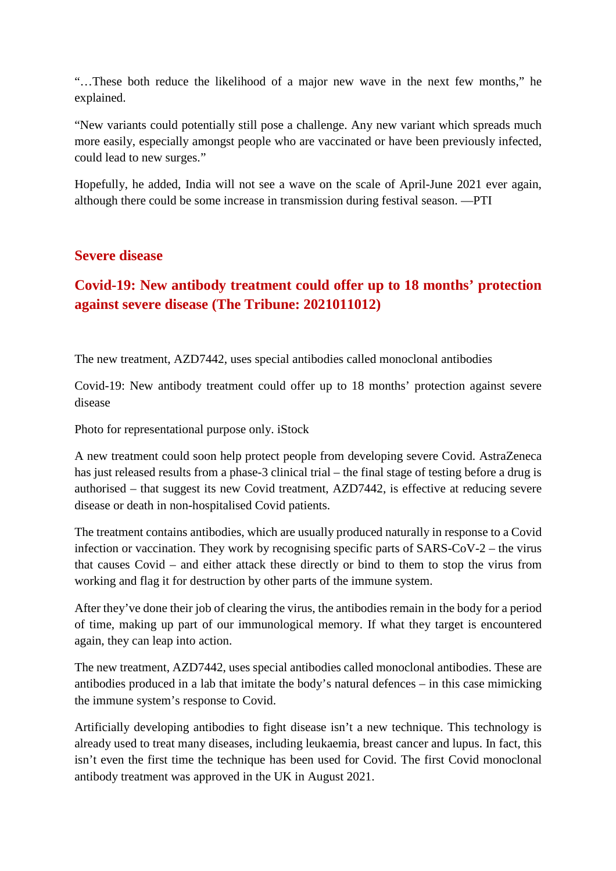"…These both reduce the likelihood of a major new wave in the next few months," he explained.

"New variants could potentially still pose a challenge. Any new variant which spreads much more easily, especially amongst people who are vaccinated or have been previously infected, could lead to new surges."

Hopefully, he added, India will not see a wave on the scale of April-June 2021 ever again, although there could be some increase in transmission during festival season. —PTI

### **Severe disease**

# **Covid-19: New antibody treatment could offer up to 18 months' protection against severe disease (The Tribune: 2021011012)**

The new treatment, AZD7442, uses special antibodies called monoclonal antibodies

Covid-19: New antibody treatment could offer up to 18 months' protection against severe disease

Photo for representational purpose only. iStock

A new treatment could soon help protect people from developing severe Covid. AstraZeneca has just released results from a phase-3 clinical trial – the final stage of testing before a drug is authorised – that suggest its new Covid treatment, AZD7442, is effective at reducing severe disease or death in non-hospitalised Covid patients.

The treatment contains antibodies, which are usually produced naturally in response to a Covid infection or vaccination. They work by recognising specific parts of SARS-CoV-2 – the virus that causes Covid – and either attack these directly or bind to them to stop the virus from working and flag it for destruction by other parts of the immune system.

After they've done their job of clearing the virus, the antibodies remain in the body for a period of time, making up part of our immunological memory. If what they target is encountered again, they can leap into action.

The new treatment, AZD7442, uses special antibodies called monoclonal antibodies. These are antibodies produced in a lab that imitate the body's natural defences – in this case mimicking the immune system's response to Covid.

Artificially developing antibodies to fight disease isn't a new technique. This technology is already used to treat many diseases, including leukaemia, breast cancer and lupus. In fact, this isn't even the first time the technique has been used for Covid. The first Covid monoclonal antibody treatment was approved in the UK in August 2021.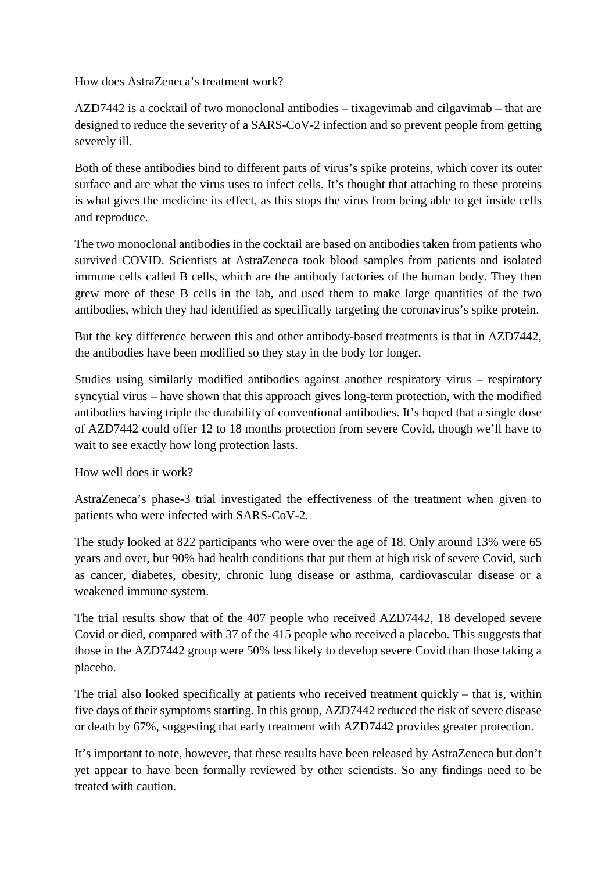How does AstraZeneca's treatment work?

AZD7442 is a cocktail of two monoclonal antibodies – tixagevimab and cilgavimab – that are designed to reduce the severity of a SARS-CoV-2 infection and so prevent people from getting severely ill.

Both of these antibodies bind to different parts of virus's spike proteins, which cover its outer surface and are what the virus uses to infect cells. It's thought that attaching to these proteins is what gives the medicine its effect, as this stops the virus from being able to get inside cells and reproduce.

The two monoclonal antibodies in the cocktail are based on antibodies taken from patients who survived COVID. Scientists at AstraZeneca took blood samples from patients and isolated immune cells called B cells, which are the antibody factories of the human body. They then grew more of these B cells in the lab, and used them to make large quantities of the two antibodies, which they had identified as specifically targeting the coronavirus's spike protein.

But the key difference between this and other antibody-based treatments is that in AZD7442, the antibodies have been modified so they stay in the body for longer.

Studies using similarly modified antibodies against another respiratory virus – respiratory syncytial virus – have shown that this approach gives long-term protection, with the modified antibodies having triple the durability of conventional antibodies. It's hoped that a single dose of AZD7442 could offer 12 to 18 months protection from severe Covid, though we'll have to wait to see exactly how long protection lasts.

How well does it work?

AstraZeneca's phase-3 trial investigated the effectiveness of the treatment when given to patients who were infected with SARS-CoV-2.

The study looked at 822 participants who were over the age of 18. Only around 13% were 65 years and over, but 90% had health conditions that put them at high risk of severe Covid, such as cancer, diabetes, obesity, chronic lung disease or asthma, cardiovascular disease or a weakened immune system.

The trial results show that of the 407 people who received AZD7442, 18 developed severe Covid or died, compared with 37 of the 415 people who received a placebo. This suggests that those in the AZD7442 group were 50% less likely to develop severe Covid than those taking a placebo.

The trial also looked specifically at patients who received treatment quickly – that is, within five days of their symptoms starting. In this group, AZD7442 reduced the risk of severe disease or death by 67%, suggesting that early treatment with AZD7442 provides greater protection.

It's important to note, however, that these results have been released by AstraZeneca but don't yet appear to have been formally reviewed by other scientists. So any findings need to be treated with caution.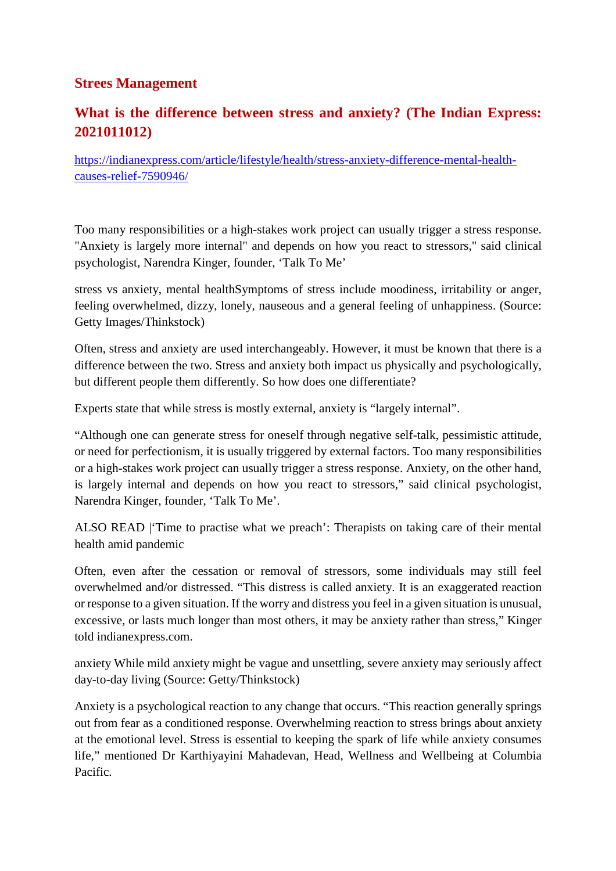## **Strees Management**

# **What is the difference between stress and anxiety? (The Indian Express: 2021011012)**

https://indianexpress.com/article/lifestyle/health/stress-anxiety-difference-mental-healthcauses-relief-7590946/

Too many responsibilities or a high-stakes work project can usually trigger a stress response. "Anxiety is largely more internal" and depends on how you react to stressors," said clinical psychologist, Narendra Kinger, founder, 'Talk To Me'

stress vs anxiety, mental healthSymptoms of stress include moodiness, irritability or anger, feeling overwhelmed, dizzy, lonely, nauseous and a general feeling of unhappiness. (Source: Getty Images/Thinkstock)

Often, stress and anxiety are used interchangeably. However, it must be known that there is a difference between the two. Stress and anxiety both impact us physically and psychologically, but different people them differently. So how does one differentiate?

Experts state that while stress is mostly external, anxiety is "largely internal".

"Although one can generate stress for oneself through negative self-talk, pessimistic attitude, or need for perfectionism, it is usually triggered by external factors. Too many responsibilities or a high-stakes work project can usually trigger a stress response. Anxiety, on the other hand, is largely internal and depends on how you react to stressors," said clinical psychologist, Narendra Kinger, founder, 'Talk To Me'.

ALSO READ |'Time to practise what we preach': Therapists on taking care of their mental health amid pandemic

Often, even after the cessation or removal of stressors, some individuals may still feel overwhelmed and/or distressed. "This distress is called anxiety. It is an exaggerated reaction or response to a given situation. If the worry and distress you feel in a given situation is unusual, excessive, or lasts much longer than most others, it may be anxiety rather than stress," Kinger told indianexpress.com.

anxiety While mild anxiety might be vague and unsettling, severe anxiety may seriously affect day-to-day living (Source: Getty/Thinkstock)

Anxiety is a psychological reaction to any change that occurs. "This reaction generally springs out from fear as a conditioned response. Overwhelming reaction to stress brings about anxiety at the emotional level. Stress is essential to keeping the spark of life while anxiety consumes life," mentioned Dr Karthiyayini Mahadevan, Head, Wellness and Wellbeing at Columbia Pacific.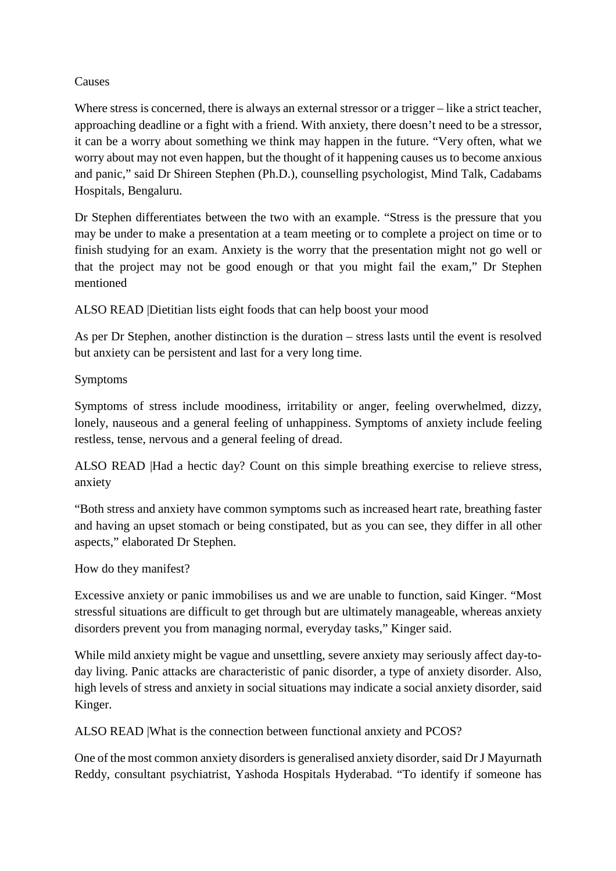#### Causes

Where stress is concerned, there is always an external stressor or a trigger – like a strict teacher, approaching deadline or a fight with a friend. With anxiety, there doesn't need to be a stressor, it can be a worry about something we think may happen in the future. "Very often, what we worry about may not even happen, but the thought of it happening causes us to become anxious and panic," said Dr Shireen Stephen (Ph.D.), counselling psychologist, Mind Talk, Cadabams Hospitals, Bengaluru.

Dr Stephen differentiates between the two with an example. "Stress is the pressure that you may be under to make a presentation at a team meeting or to complete a project on time or to finish studying for an exam. Anxiety is the worry that the presentation might not go well or that the project may not be good enough or that you might fail the exam," Dr Stephen mentioned

ALSO READ |Dietitian lists eight foods that can help boost your mood

As per Dr Stephen, another distinction is the duration – stress lasts until the event is resolved but anxiety can be persistent and last for a very long time.

#### Symptoms

Symptoms of stress include moodiness, irritability or anger, feeling overwhelmed, dizzy, lonely, nauseous and a general feeling of unhappiness. Symptoms of anxiety include feeling restless, tense, nervous and a general feeling of dread.

ALSO READ |Had a hectic day? Count on this simple breathing exercise to relieve stress, anxiety

"Both stress and anxiety have common symptoms such as increased heart rate, breathing faster and having an upset stomach or being constipated, but as you can see, they differ in all other aspects," elaborated Dr Stephen.

How do they manifest?

Excessive anxiety or panic immobilises us and we are unable to function, said Kinger. "Most stressful situations are difficult to get through but are ultimately manageable, whereas anxiety disorders prevent you from managing normal, everyday tasks," Kinger said.

While mild anxiety might be vague and unsettling, severe anxiety may seriously affect day-today living. Panic attacks are characteristic of panic disorder, a type of anxiety disorder. Also, high levels of stress and anxiety in social situations may indicate a social anxiety disorder, said Kinger.

ALSO READ |What is the connection between functional anxiety and PCOS?

One of the most common anxiety disorders is generalised anxiety disorder, said Dr J Mayurnath Reddy, consultant psychiatrist, Yashoda Hospitals Hyderabad. "To identify if someone has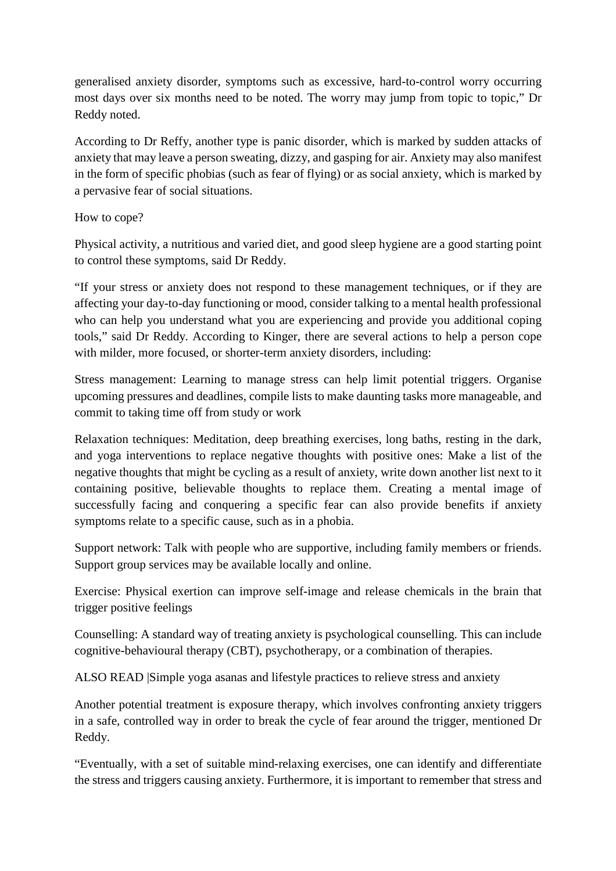generalised anxiety disorder, symptoms such as excessive, hard-to-control worry occurring most days over six months need to be noted. The worry may jump from topic to topic," Dr Reddy noted.

According to Dr Reffy, another type is panic disorder, which is marked by sudden attacks of anxiety that may leave a person sweating, dizzy, and gasping for air. Anxiety may also manifest in the form of specific phobias (such as fear of flying) or as social anxiety, which is marked by a pervasive fear of social situations.

#### How to cope?

Physical activity, a nutritious and varied diet, and good sleep hygiene are a good starting point to control these symptoms, said Dr Reddy.

"If your stress or anxiety does not respond to these management techniques, or if they are affecting your day-to-day functioning or mood, consider talking to a mental health professional who can help you understand what you are experiencing and provide you additional coping tools," said Dr Reddy. According to Kinger, there are several actions to help a person cope with milder, more focused, or shorter-term anxiety disorders, including:

Stress management: Learning to manage stress can help limit potential triggers. Organise upcoming pressures and deadlines, compile lists to make daunting tasks more manageable, and commit to taking time off from study or work

Relaxation techniques: Meditation, deep breathing exercises, long baths, resting in the dark, and yoga interventions to replace negative thoughts with positive ones: Make a list of the negative thoughts that might be cycling as a result of anxiety, write down another list next to it containing positive, believable thoughts to replace them. Creating a mental image of successfully facing and conquering a specific fear can also provide benefits if anxiety symptoms relate to a specific cause, such as in a phobia.

Support network: Talk with people who are supportive, including family members or friends. Support group services may be available locally and online.

Exercise: Physical exertion can improve self-image and release chemicals in the brain that trigger positive feelings

Counselling: A standard way of treating anxiety is psychological counselling. This can include cognitive-behavioural therapy (CBT), psychotherapy, or a combination of therapies.

ALSO READ |Simple yoga asanas and lifestyle practices to relieve stress and anxiety

Another potential treatment is exposure therapy, which involves confronting anxiety triggers in a safe, controlled way in order to break the cycle of fear around the trigger, mentioned Dr Reddy.

"Eventually, with a set of suitable mind-relaxing exercises, one can identify and differentiate the stress and triggers causing anxiety. Furthermore, it is important to remember that stress and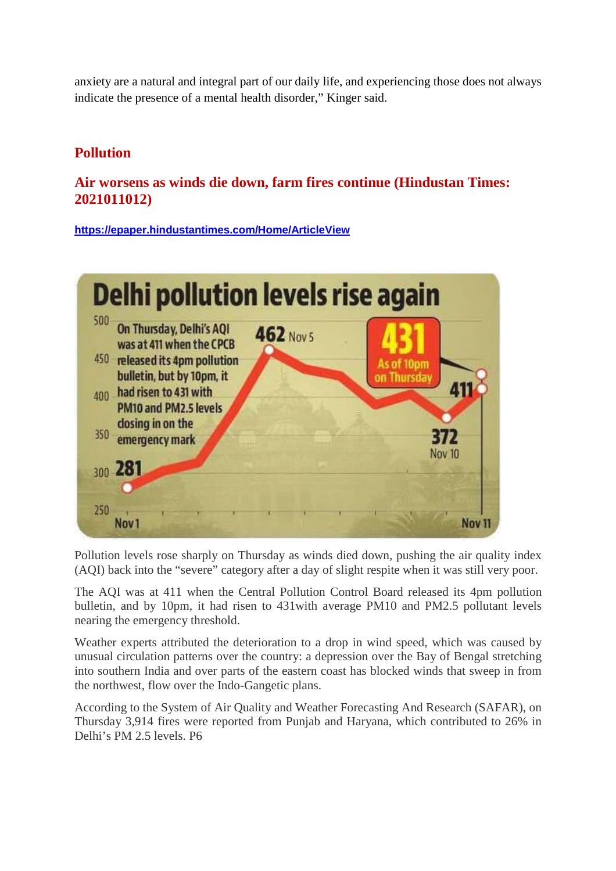anxiety are a natural and integral part of our daily life, and experiencing those does not always indicate the presence of a mental health disorder," Kinger said.

# **Pollution**

## **Air worsens as winds die down, farm fires continue (Hindustan Times: 2021011012)**

**https://epaper.hindustantimes.com/Home/ArticleView**



Pollution levels rose sharply on Thursday as winds died down, pushing the air quality index (AQI) back into the "severe" category after a day of slight respite when it was still very poor.

The AQI was at 411 when the Central Pollution Control Board released its 4pm pollution bulletin, and by 10pm, it had risen to 431with average PM10 and PM2.5 pollutant levels nearing the emergency threshold.

Weather experts attributed the deterioration to a drop in wind speed, which was caused by unusual circulation patterns over the country: a depression over the Bay of Bengal stretching into southern India and over parts of the eastern coast has blocked winds that sweep in from the northwest, flow over the Indo-Gangetic plans.

According to the System of Air Quality and Weather Forecasting And Research (SAFAR), on Thursday 3,914 fires were reported from Punjab and Haryana, which contributed to 26% in Delhi's PM 2.5 levels. P6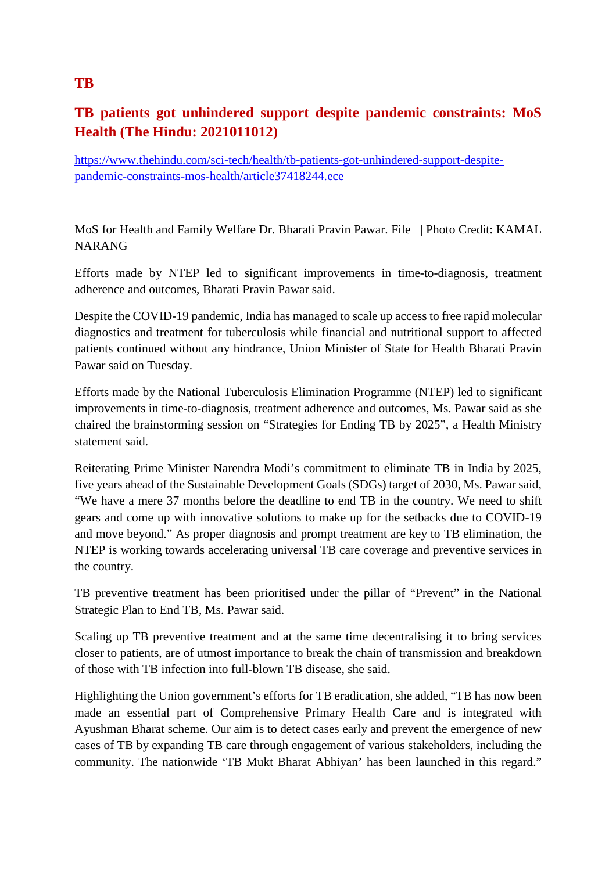# **TB patients got unhindered support despite pandemic constraints: MoS Health (The Hindu: 2021011012)**

https://www.thehindu.com/sci-tech/health/tb-patients-got-unhindered-support-despitepandemic-constraints-mos-health/article37418244.ece

MoS for Health and Family Welfare Dr. Bharati Pravin Pawar. File | Photo Credit: KAMAL NARANG

Efforts made by NTEP led to significant improvements in time-to-diagnosis, treatment adherence and outcomes, Bharati Pravin Pawar said.

Despite the COVID-19 pandemic, India has managed to scale up access to free rapid molecular diagnostics and treatment for tuberculosis while financial and nutritional support to affected patients continued without any hindrance, Union Minister of State for Health Bharati Pravin Pawar said on Tuesday.

Efforts made by the National Tuberculosis Elimination Programme (NTEP) led to significant improvements in time-to-diagnosis, treatment adherence and outcomes, Ms. Pawar said as she chaired the brainstorming session on "Strategies for Ending TB by 2025", a Health Ministry statement said.

Reiterating Prime Minister Narendra Modi's commitment to eliminate TB in India by 2025, five years ahead of the Sustainable Development Goals (SDGs) target of 2030, Ms. Pawar said, "We have a mere 37 months before the deadline to end TB in the country. We need to shift gears and come up with innovative solutions to make up for the setbacks due to COVID-19 and move beyond." As proper diagnosis and prompt treatment are key to TB elimination, the NTEP is working towards accelerating universal TB care coverage and preventive services in the country.

TB preventive treatment has been prioritised under the pillar of "Prevent" in the National Strategic Plan to End TB, Ms. Pawar said.

Scaling up TB preventive treatment and at the same time decentralising it to bring services closer to patients, are of utmost importance to break the chain of transmission and breakdown of those with TB infection into full-blown TB disease, she said.

Highlighting the Union government's efforts for TB eradication, she added, "TB has now been made an essential part of Comprehensive Primary Health Care and is integrated with Ayushman Bharat scheme. Our aim is to detect cases early and prevent the emergence of new cases of TB by expanding TB care through engagement of various stakeholders, including the community. The nationwide 'TB Mukt Bharat Abhiyan' has been launched in this regard."

## **TB**